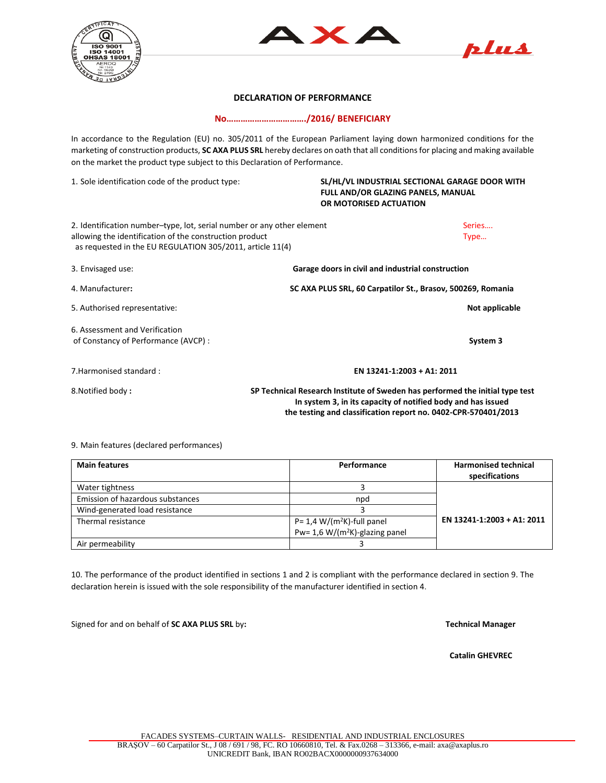





## **DECLARATION OF PERFORMANCE**

**No……………………………./2016/ BENEFICIARY**

In accordance to the Regulation (EU) no. 305/2011 of the European Parliament laying down harmonized conditions for the marketing of construction products, **SC AXA PLUS SRL** hereby declares on oath that all conditions for placing and making available on the market the product type subject to this Declaration of Performance.

1. Sole identification code of the product type: **SL/HL/VL INDUSTRIAL SECTIONAL GARAGE DOOR WITH FULL AND/OR GLAZING PANELS, MANUAL OR MOTORISED ACTUATION** 2. Identification number–type, lot, serial number or any other element Series Series... allowing the identification of the construction product and the construction product and the construction product  $\Gamma$  as requested in the EU REGULATION 305/2011, article 11(4) 3. Envisaged use: **Garage doors in civil and industrial construction** 4. Manufacturer**: SC AXA PLUS SRL, 60 Carpatilor St., Brasov, 500269, Romania** 5. Authorised representative: **Not applicable** 6. Assessment and Verification of Constancy of Performance (AVCP) : **System 3** 7.Harmonised standard : **EN 13241-1:2003 + A1: 2011** 8.Notified body **: SP Technical Research Institute of Sweden has performed the initial type test**

## 9. Main features (declared performances)

| <b>Main features</b>             | Performance                              | <b>Harmonised technical</b><br>specifications |
|----------------------------------|------------------------------------------|-----------------------------------------------|
| Water tightness                  |                                          |                                               |
| Emission of hazardous substances | npd                                      |                                               |
| Wind-generated load resistance   |                                          |                                               |
| Thermal resistance               | P= $1,4$ W/(m <sup>2</sup> K)-full panel | EN 13241-1:2003 + A1: 2011                    |
|                                  | Pw= 1,6 W/( $m^2K$ )-glazing panel       |                                               |
| Air permeability                 |                                          |                                               |

 **In system 3, in its capacity of notified body and has issued the testing and classification report no. 0402-CPR-570401/2013** 

10. The performance of the product identified in sections 1 and 2 is compliant with the performance declared in section 9. The declaration herein is issued with the sole responsibility of the manufacturer identified in section 4.

Signed for and on behalf of **SC AXA PLUS SRL** by**: Technical Manager** 

 **Catalin GHEVREC**